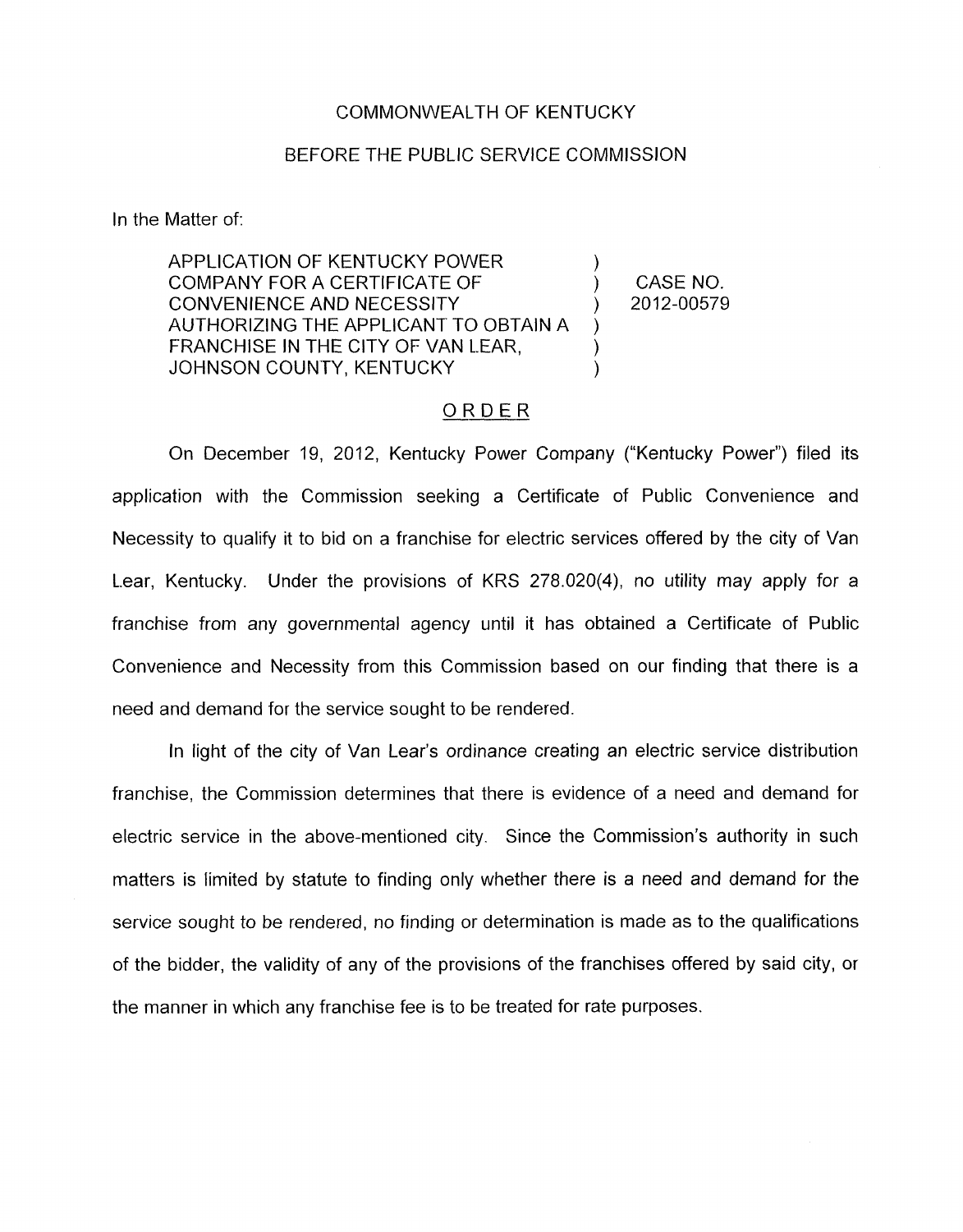## COMMONWEALTH OF KENTUCKY

## BEFORE THE PUBLIC SERVICE COMMISSION

In the Matter of:

APPLICATION OF KENTUCKY POWER  $\overline{)}$  (CASE NO) CONVENIENCE AND NECESSITY ) 2012-00579 AUTHORIZING THE APPLICANT TO OBTAIN A FRANCHISE IN THE CITY OF VAN LEAR, JOHNSON COUNTY, KENTUCKY )

## ORDER

On December 19, 2012, Kentucky Power Company ("Kentucky Power") filed its application with the Commission seeking a Certificate of Public Convenience and Necessity to qualify it to bid on a franchise for electric services offered by the city of Van L.ear, Kentucky. Under the provisions of KRS 278.020(4), no utility may apply for a franchise from any governmental agency until it has obtained a Certificate of Public Convenience and Necessity from this Commission based on our finding that there is a need and demand for the service sought to be rendered.

In light of the city of Van Lear's ordinance creating an electric service distribution franchise, the Commission determines that there is evidence of a need and demand for electric service in the above-mentioned city. Since the Commission's authority in such matters is limited by statute to finding only whether there is a need and demand for the service sought to be rendered, no finding or determination is made as to the qualifications of the bidder, the validity of any of the provisions of the franchises offered by said city, or the manner in which any franchise fee is to be treated for rate purposes.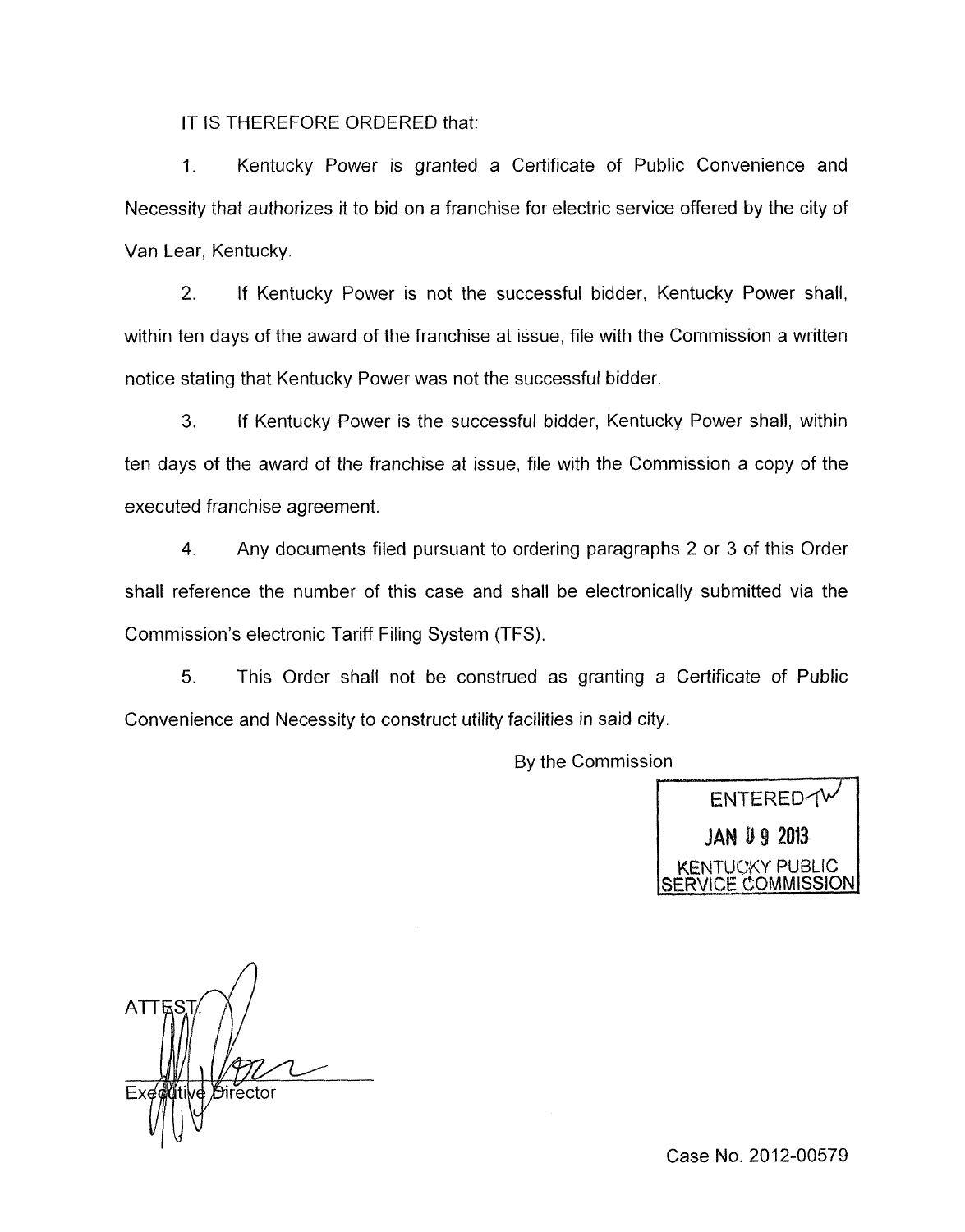IT IS THEREFORE ORDERED that:

1. Kentucky Power is granted a Certificate of Public Convenience and Necessity that authorizes it to bid on a franchise for electric service offered by the city of Van Lear, Kentucky.

2. If Kentucky Power is not the successful bidder, Kentucky Power shall, within ten days of the award of the franchise at issue, file with the Commission a written notice stating that Kentucky Power was not the successful bidder.

**3.** If Kentucky Power is the successful bidder, Kentucky Power shall, within ten days of the award of the franchise at issue, file with the Commission a copy of the executed franchise agreement.

4. Any documents filed pursuant to ordering paragraphs 2 or 3 of this Order shall reference the number of this case and shall be electronically submitted via the Commission's electronic Tariff Filing System (TFS).

*5.* This Order shall not be construed as granting a Certificate of Public Convenience and Necessity to construct utility facilities in said city.

By the Commission

ENTERED TV **JAN 09 2013** JC:KY PUBLIC <u>SERVICE COMMISSIONI</u>

**ATT** *D*irector

Case No. 2012-00579